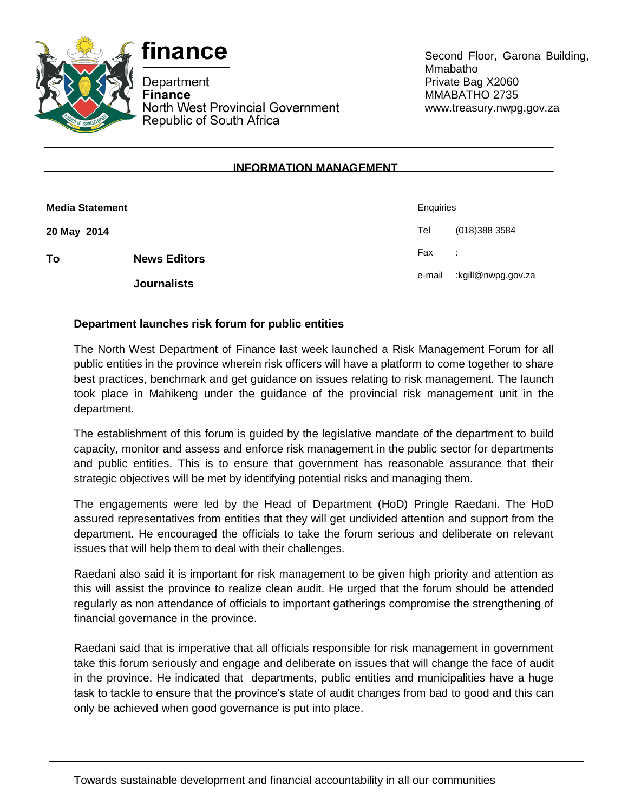



Department **Finance** North West Provincial Government Republic of South Africa

Second Floor, Garona Building, Mmabatho Private Bag X2060 MMABATHO 2735 www.treasury.nwpg.gov.za

## **INFORMATION MANAGEMENT**

| <b>Media Statement</b> |                     | Enquiries               |                    |
|------------------------|---------------------|-------------------------|--------------------|
| 20 May 2014            |                     | Tel                     | (018) 388 3584     |
| To                     | <b>News Editors</b> | Fax<br>$\sim$ 100 $\pm$ |                    |
|                        | <b>Journalists</b>  | e-mail                  | kgill@nwpg.gov.za: |

## **Department launches risk forum for public entities**

The North West Department of Finance last week launched a Risk Management Forum for all public entities in the province wherein risk officers will have a platform to come together to share best practices, benchmark and get guidance on issues relating to risk management. The launch took place in Mahikeng under the guidance of the provincial risk management unit in the department.

The establishment of this forum is guided by the legislative mandate of the department to build capacity, monitor and assess and enforce risk management in the public sector for departments and public entities. This is to ensure that government has reasonable assurance that their strategic objectives will be met by identifying potential risks and managing them.

The engagements were led by the Head of Department (HoD) Pringle Raedani. The HoD assured representatives from entities that they will get undivided attention and support from the department. He encouraged the officials to take the forum serious and deliberate on relevant issues that will help them to deal with their challenges.

Raedani also said it is important for risk management to be given high priority and attention as this will assist the province to realize clean audit. He urged that the forum should be attended regularly as non attendance of officials to important gatherings compromise the strengthening of financial governance in the province.

Raedani said that is imperative that all officials responsible for risk management in government take this forum seriously and engage and deliberate on issues that will change the face of audit in the province. He indicated that departments, public entities and municipalities have a huge task to tackle to ensure that the province's state of audit changes from bad to good and this can only be achieved when good governance is put into place.